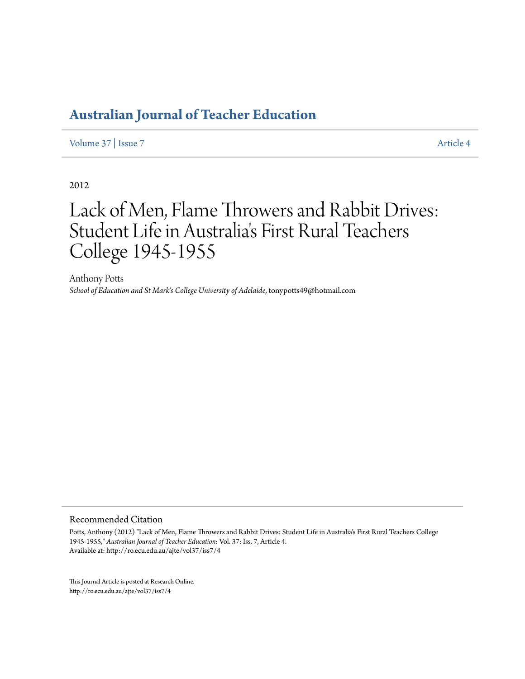[Volume 37](http://ro.ecu.edu.au/ajte/vol37) | [Issue 7](http://ro.ecu.edu.au/ajte/vol37/iss7) [Article 4](http://ro.ecu.edu.au/ajte/vol37/iss7/4)

2012

# Lack of Men, Flame Throwers and Rabbit Drives: Student Life in Australia 's First Rural Teachers College 1945-1955

Anthony Potts *School of Education and St Mark's College University of Adelaide*, tonypotts49@hotmail.com

Recommended Citation

Potts, Anthony (2012) "Lack of Men, Flame Throwers and Rabbit Drives: Student Life in Australia's First Rural Teachers College 1945-1955," *Australian Journal of Teacher Education*: Vol. 37: Iss. 7, Article 4. Available at: http://ro.ecu.edu.au/ajte/vol37/iss7/4

This Journal Article is posted at Research Online. http://ro.ecu.edu.au/ajte/vol37/iss7/4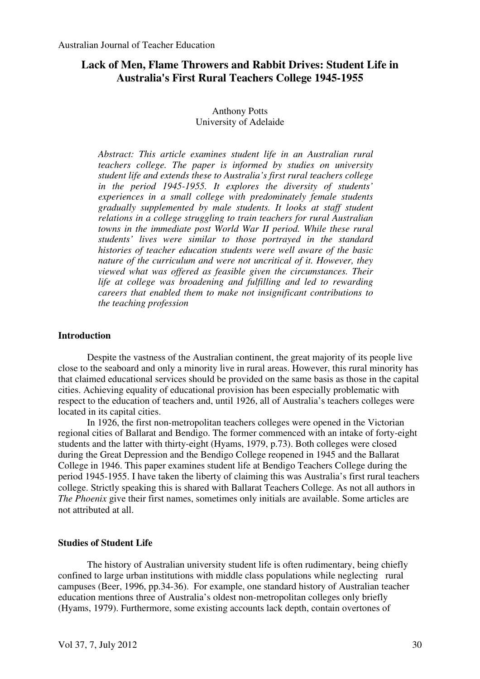# **Lack of Men, Flame Throwers and Rabbit Drives: Student Life in Australia's First Rural Teachers College 1945-1955**

# Anthony Potts University of Adelaide

*Abstract: This article examines student life in an Australian rural teachers college. The paper is informed by studies on university student life and extends these to Australia's first rural teachers college in the period 1945-1955. It explores the diversity of students' experiences in a small college with predominately female students gradually supplemented by male students. It looks at staff student relations in a college struggling to train teachers for rural Australian towns in the immediate post World War II period. While these rural students' lives were similar to those portrayed in the standard histories of teacher education students were well aware of the basic nature of the curriculum and were not uncritical of it. However, they viewed what was offered as feasible given the circumstances. Their life at college was broadening and fulfilling and led to rewarding careers that enabled them to make not insignificant contributions to the teaching profession* 

## **Introduction**

Despite the vastness of the Australian continent, the great majority of its people live close to the seaboard and only a minority live in rural areas. However, this rural minority has that claimed educational services should be provided on the same basis as those in the capital cities. Achieving equality of educational provision has been especially problematic with respect to the education of teachers and, until 1926, all of Australia's teachers colleges were located in its capital cities.

In 1926, the first non-metropolitan teachers colleges were opened in the Victorian regional cities of Ballarat and Bendigo. The former commenced with an intake of forty-eight students and the latter with thirty-eight (Hyams, 1979, p.73). Both colleges were closed during the Great Depression and the Bendigo College reopened in 1945 and the Ballarat College in 1946. This paper examines student life at Bendigo Teachers College during the period 1945-1955. I have taken the liberty of claiming this was Australia's first rural teachers college. Strictly speaking this is shared with Ballarat Teachers College. As not all authors in *The Phoenix* give their first names, sometimes only initials are available. Some articles are not attributed at all.

## **Studies of Student Life**

The history of Australian university student life is often rudimentary, being chiefly confined to large urban institutions with middle class populations while neglecting rural campuses (Beer, 1996, pp.34-36). For example, one standard history of Australian teacher education mentions three of Australia's oldest non-metropolitan colleges only briefly (Hyams, 1979). Furthermore, some existing accounts lack depth, contain overtones of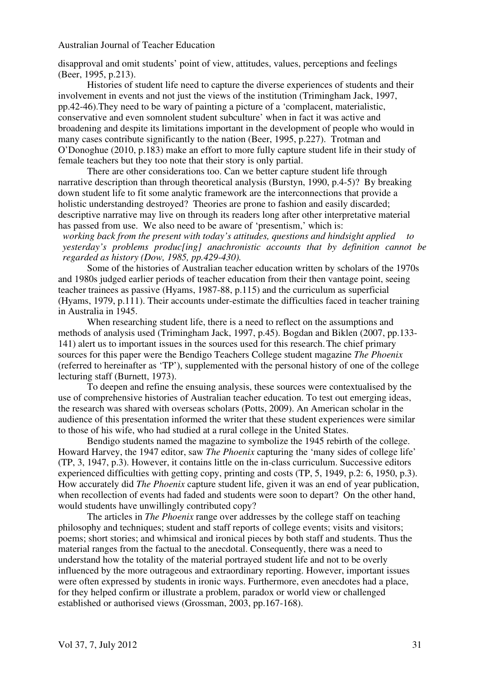disapproval and omit students' point of view, attitudes, values, perceptions and feelings (Beer, 1995, p.213).

Histories of student life need to capture the diverse experiences of students and their involvement in events and not just the views of the institution (Trimingham Jack, 1997, pp.42-46).They need to be wary of painting a picture of a 'complacent, materialistic, conservative and even somnolent student subculture' when in fact it was active and broadening and despite its limitations important in the development of people who would in many cases contribute significantly to the nation (Beer, 1995, p.227). Trotman and O'Donoghue (2010, p.183) make an effort to more fully capture student life in their study of female teachers but they too note that their story is only partial.

There are other considerations too. Can we better capture student life through narrative description than through theoretical analysis (Burstyn, 1990, p.4-5)? By breaking down student life to fit some analytic framework are the interconnections that provide a holistic understanding destroyed? Theories are prone to fashion and easily discarded; descriptive narrative may live on through its readers long after other interpretative material has passed from use. We also need to be aware of 'presentism,' which is:

*working back from the present with today's attitudes, questions and hindsight applied to yesterday's problems produc[ing] anachronistic accounts that by definition cannot be regarded as history (Dow, 1985, pp.429-430).* 

Some of the histories of Australian teacher education written by scholars of the 1970s and 1980s judged earlier periods of teacher education from their then vantage point, seeing teacher trainees as passive (Hyams, 1987-88, p.115) and the curriculum as superficial (Hyams, 1979, p.111). Their accounts under-estimate the difficulties faced in teacher training in Australia in 1945.

When researching student life, there is a need to reflect on the assumptions and methods of analysis used (Trimingham Jack, 1997, p.45). Bogdan and Biklen (2007, pp.133- 141) alert us to important issues in the sources used for this research.The chief primary sources for this paper were the Bendigo Teachers College student magazine *The Phoenix*  (referred to hereinafter as 'TP'), supplemented with the personal history of one of the college lecturing staff (Burnett, 1973).

To deepen and refine the ensuing analysis, these sources were contextualised by the use of comprehensive histories of Australian teacher education. To test out emerging ideas, the research was shared with overseas scholars (Potts, 2009). An American scholar in the audience of this presentation informed the writer that these student experiences were similar to those of his wife, who had studied at a rural college in the United States.

Bendigo students named the magazine to symbolize the 1945 rebirth of the college. Howard Harvey, the 1947 editor, saw *The Phoenix* capturing the 'many sides of college life' (TP, 3, 1947, p.3). However, it contains little on the in-class curriculum. Successive editors experienced difficulties with getting copy, printing and costs (TP, 5, 1949, p.2: 6, 1950, p.3). How accurately did *The Phoenix* capture student life, given it was an end of year publication, when recollection of events had faded and students were soon to depart? On the other hand, would students have unwillingly contributed copy?

 The articles in *The Phoenix* range over addresses by the college staff on teaching philosophy and techniques; student and staff reports of college events; visits and visitors; poems; short stories; and whimsical and ironical pieces by both staff and students. Thus the material ranges from the factual to the anecdotal. Consequently, there was a need to understand how the totality of the material portrayed student life and not to be overly influenced by the more outrageous and extraordinary reporting. However, important issues were often expressed by students in ironic ways. Furthermore, even anecdotes had a place, for they helped confirm or illustrate a problem, paradox or world view or challenged established or authorised views (Grossman, 2003, pp.167-168).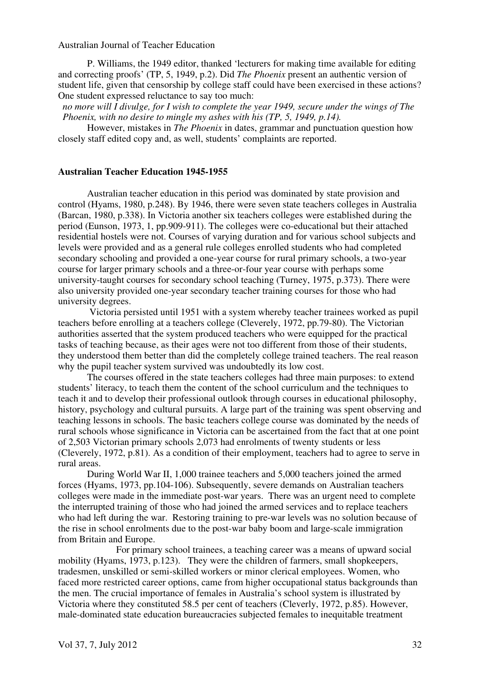P. Williams, the 1949 editor, thanked 'lecturers for making time available for editing and correcting proofs' (TP, 5, 1949, p.2). Did *The Phoenix* present an authentic version of student life, given that censorship by college staff could have been exercised in these actions? One student expressed reluctance to say too much:

*no more will I divulge, for I wish to complete the year 1949, secure under the wings of The Phoenix, with no desire to mingle my ashes with his (TP, 5, 1949, p.14).* 

However, mistakes in *The Phoenix* in dates, grammar and punctuation question how closely staff edited copy and, as well, students' complaints are reported.

#### **Australian Teacher Education 1945-1955**

Australian teacher education in this period was dominated by state provision and control (Hyams, 1980, p.248). By 1946, there were seven state teachers colleges in Australia (Barcan, 1980, p.338). In Victoria another six teachers colleges were established during the period (Eunson, 1973, 1, pp.909-911). The colleges were co-educational but their attached residential hostels were not. Courses of varying duration and for various school subjects and levels were provided and as a general rule colleges enrolled students who had completed secondary schooling and provided a one-year course for rural primary schools, a two-year course for larger primary schools and a three-or-four year course with perhaps some university-taught courses for secondary school teaching (Turney, 1975, p.373). There were also university provided one-year secondary teacher training courses for those who had university degrees.

 Victoria persisted until 1951 with a system whereby teacher trainees worked as pupil teachers before enrolling at a teachers college (Cleverely, 1972, pp.79-80). The Victorian authorities asserted that the system produced teachers who were equipped for the practical tasks of teaching because, as their ages were not too different from those of their students, they understood them better than did the completely college trained teachers. The real reason why the pupil teacher system survived was undoubtedly its low cost.

 The courses offered in the state teachers colleges had three main purposes: to extend students' literacy, to teach them the content of the school curriculum and the techniques to teach it and to develop their professional outlook through courses in educational philosophy, history, psychology and cultural pursuits. A large part of the training was spent observing and teaching lessons in schools. The basic teachers college course was dominated by the needs of rural schools whose significance in Victoria can be ascertained from the fact that at one point of 2,503 Victorian primary schools 2,073 had enrolments of twenty students or less (Cleverely, 1972, p.81). As a condition of their employment, teachers had to agree to serve in rural areas.

During World War II, 1,000 trainee teachers and 5,000 teachers joined the armed forces (Hyams, 1973, pp.104-106). Subsequently, severe demands on Australian teachers colleges were made in the immediate post-war years. There was an urgent need to complete the interrupted training of those who had joined the armed services and to replace teachers who had left during the war. Restoring training to pre-war levels was no solution because of the rise in school enrolments due to the post-war baby boom and large-scale immigration from Britain and Europe.

 For primary school trainees, a teaching career was a means of upward social mobility (Hyams, 1973, p.123). They were the children of farmers, small shopkeepers, tradesmen, unskilled or semi-skilled workers or minor clerical employees. Women, who faced more restricted career options, came from higher occupational status backgrounds than the men. The crucial importance of females in Australia's school system is illustrated by Victoria where they constituted 58.5 per cent of teachers (Cleverly, 1972, p.85). However, male-dominated state education bureaucracies subjected females to inequitable treatment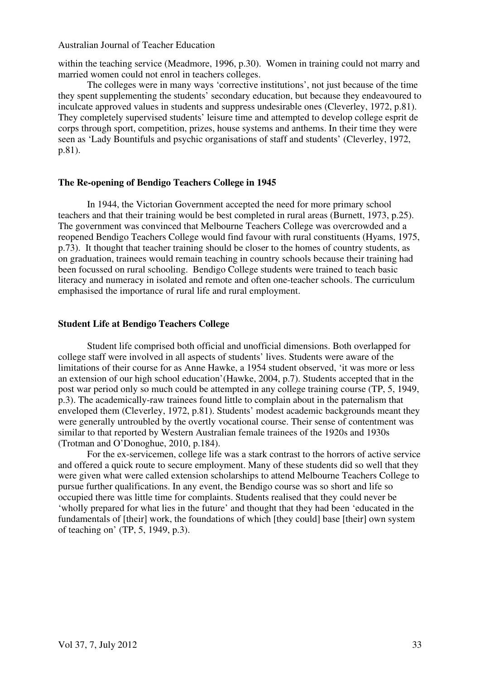within the teaching service (Meadmore, 1996, p.30). Women in training could not marry and married women could not enrol in teachers colleges.

 The colleges were in many ways 'corrective institutions', not just because of the time they spent supplementing the students' secondary education, but because they endeavoured to inculcate approved values in students and suppress undesirable ones (Cleverley, 1972, p.81). They completely supervised students' leisure time and attempted to develop college esprit de corps through sport, competition, prizes, house systems and anthems. In their time they were seen as 'Lady Bountifuls and psychic organisations of staff and students' (Cleverley, 1972, p.81).

## **The Re-opening of Bendigo Teachers College in 1945**

 In 1944, the Victorian Government accepted the need for more primary school teachers and that their training would be best completed in rural areas (Burnett, 1973, p.25). The government was convinced that Melbourne Teachers College was overcrowded and a reopened Bendigo Teachers College would find favour with rural constituents (Hyams, 1975, p.73). It thought that teacher training should be closer to the homes of country students, as on graduation, trainees would remain teaching in country schools because their training had been focussed on rural schooling. Bendigo College students were trained to teach basic literacy and numeracy in isolated and remote and often one-teacher schools. The curriculum emphasised the importance of rural life and rural employment.

#### **Student Life at Bendigo Teachers College**

Student life comprised both official and unofficial dimensions. Both overlapped for college staff were involved in all aspects of students' lives. Students were aware of the limitations of their course for as Anne Hawke, a 1954 student observed, 'it was more or less an extension of our high school education'(Hawke, 2004, p.7). Students accepted that in the post war period only so much could be attempted in any college training course (TP, 5, 1949, p.3). The academically-raw trainees found little to complain about in the paternalism that enveloped them (Cleverley, 1972, p.81). Students' modest academic backgrounds meant they were generally untroubled by the overtly vocational course. Their sense of contentment was similar to that reported by Western Australian female trainees of the 1920s and 1930s (Trotman and O'Donoghue, 2010, p.184).

 For the ex-servicemen, college life was a stark contrast to the horrors of active service and offered a quick route to secure employment. Many of these students did so well that they were given what were called extension scholarships to attend Melbourne Teachers College to pursue further qualifications. In any event, the Bendigo course was so short and life so occupied there was little time for complaints. Students realised that they could never be 'wholly prepared for what lies in the future' and thought that they had been 'educated in the fundamentals of [their] work, the foundations of which [they could] base [their] own system of teaching on' (TP, 5, 1949, p.3).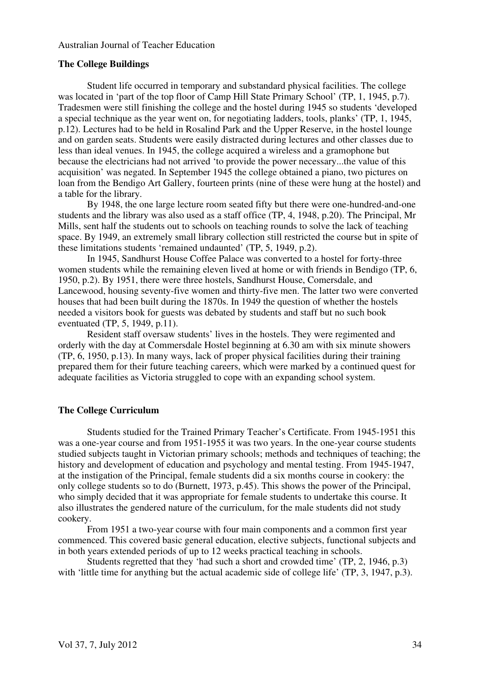#### **The College Buildings**

 Student life occurred in temporary and substandard physical facilities. The college was located in 'part of the top floor of Camp Hill State Primary School' (TP, 1, 1945, p.7). Tradesmen were still finishing the college and the hostel during 1945 so students 'developed a special technique as the year went on, for negotiating ladders, tools, planks' (TP, 1, 1945, p.12). Lectures had to be held in Rosalind Park and the Upper Reserve, in the hostel lounge and on garden seats. Students were easily distracted during lectures and other classes due to less than ideal venues. In 1945, the college acquired a wireless and a gramophone but because the electricians had not arrived 'to provide the power necessary...the value of this acquisition' was negated. In September 1945 the college obtained a piano, two pictures on loan from the Bendigo Art Gallery, fourteen prints (nine of these were hung at the hostel) and a table for the library.

 By 1948, the one large lecture room seated fifty but there were one-hundred-and-one students and the library was also used as a staff office (TP, 4, 1948, p.20). The Principal, Mr Mills, sent half the students out to schools on teaching rounds to solve the lack of teaching space. By 1949, an extremely small library collection still restricted the course but in spite of these limitations students 'remained undaunted' (TP, 5, 1949, p.2).

In 1945, Sandhurst House Coffee Palace was converted to a hostel for forty-three women students while the remaining eleven lived at home or with friends in Bendigo (TP, 6, 1950, p.2). By 1951, there were three hostels, Sandhurst House, Comersdale, and Lancewood, housing seventy-five women and thirty-five men. The latter two were converted houses that had been built during the 1870s. In 1949 the question of whether the hostels needed a visitors book for guests was debated by students and staff but no such book eventuated (TP, 5, 1949, p.11).

Resident staff oversaw students' lives in the hostels. They were regimented and orderly with the day at Commersdale Hostel beginning at 6.30 am with six minute showers (TP, 6, 1950, p.13). In many ways, lack of proper physical facilities during their training prepared them for their future teaching careers, which were marked by a continued quest for adequate facilities as Victoria struggled to cope with an expanding school system.

# **The College Curriculum**

 Students studied for the Trained Primary Teacher's Certificate. From 1945-1951 this was a one-year course and from 1951-1955 it was two years. In the one-year course students studied subjects taught in Victorian primary schools; methods and techniques of teaching; the history and development of education and psychology and mental testing. From 1945-1947, at the instigation of the Principal, female students did a six months course in cookery: the only college students so to do (Burnett, 1973, p.45). This shows the power of the Principal, who simply decided that it was appropriate for female students to undertake this course. It also illustrates the gendered nature of the curriculum, for the male students did not study cookery.

 From 1951 a two-year course with four main components and a common first year commenced. This covered basic general education, elective subjects, functional subjects and in both years extended periods of up to 12 weeks practical teaching in schools.

 Students regretted that they 'had such a short and crowded time' (TP, 2, 1946, p.3) with 'little time for anything but the actual academic side of college life' (TP, 3, 1947, p.3).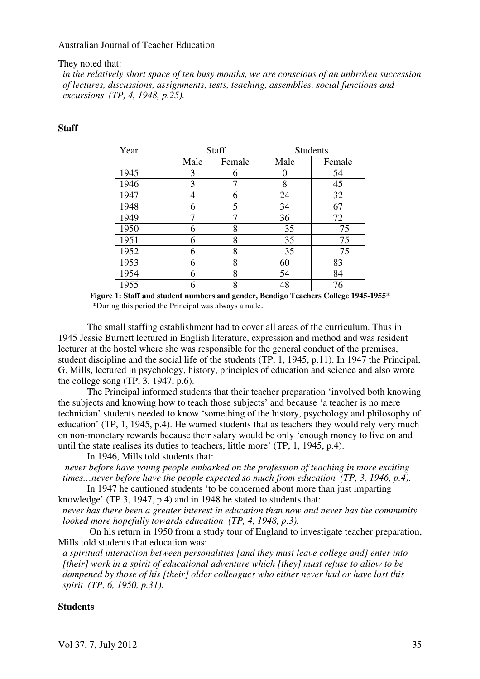They noted that:

*in the relatively short space of ten busy months, we are conscious of an unbroken succession of lectures, discussions, assignments, tests, teaching, assemblies, social functions and excursions (TP, 4, 1948, p.25).* 

# **Staff**

| Year | <b>Staff</b> |        | <b>Students</b> |        |
|------|--------------|--------|-----------------|--------|
|      | Male         | Female | Male            | Female |
| 1945 | 3            | 6      |                 | 54     |
| 1946 | 3            | 7      | 8               | 45     |
| 1947 | 4            | 6      | 24              | 32     |
| 1948 | 6            | 5      | 34              | 67     |
| 1949 | 7            | 7      | 36              | 72     |
| 1950 | 6            | 8      | 35              | 75     |
| 1951 | 6            | 8      | 35              | 75     |
| 1952 | 6            | 8      | 35              | 75     |
| 1953 | 6            | 8      | 60              | 83     |
| 1954 | 6            | 8      | 54              | 84     |
| 1955 | 6            | 8      | 48              | 76     |

**Figure 1: Staff and student numbers and gender, Bendigo Teachers College 1945-1955\***  \*During this period the Principal was always a male.

 The small staffing establishment had to cover all areas of the curriculum. Thus in 1945 Jessie Burnett lectured in English literature, expression and method and was resident lecturer at the hostel where she was responsible for the general conduct of the premises, student discipline and the social life of the students (TP, 1, 1945, p.11). In 1947 the Principal, G. Mills, lectured in psychology, history, principles of education and science and also wrote the college song (TP, 3, 1947, p.6).

 The Principal informed students that their teacher preparation 'involved both knowing the subjects and knowing how to teach those subjects' and because 'a teacher is no mere technician' students needed to know 'something of the history, psychology and philosophy of education' (TP, 1, 1945, p.4). He warned students that as teachers they would rely very much on non-monetary rewards because their salary would be only 'enough money to live on and until the state realises its duties to teachers, little more' (TP, 1, 1945, p.4).

In 1946, Mills told students that:

 *never before have young people embarked on the profession of teaching in more exciting times…never before have the people expected so much from education (TP, 3, 1946, p.4).* 

 In 1947 he cautioned students 'to be concerned about more than just imparting knowledge' (TP 3, 1947, p.4) and in 1948 he stated to students that:

*never has there been a greater interest in education than now and never has the community looked more hopefully towards education (TP, 4, 1948, p.3).* 

 On his return in 1950 from a study tour of England to investigate teacher preparation, Mills told students that education was:

*a spiritual interaction between personalities [and they must leave college and] enter into [their] work in a spirit of educational adventure which [they] must refuse to allow to be dampened by those of his [their] older colleagues who either never had or have lost this spirit (TP, 6, 1950, p.31).* 

#### **Students**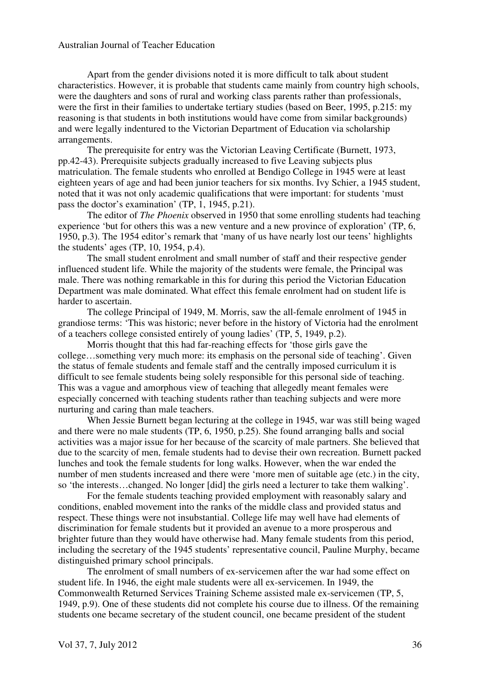Apart from the gender divisions noted it is more difficult to talk about student characteristics. However, it is probable that students came mainly from country high schools, were the daughters and sons of rural and working class parents rather than professionals, were the first in their families to undertake tertiary studies (based on Beer, 1995, p.215: my reasoning is that students in both institutions would have come from similar backgrounds) and were legally indentured to the Victorian Department of Education via scholarship arrangements.

 The prerequisite for entry was the Victorian Leaving Certificate (Burnett, 1973, pp.42-43). Prerequisite subjects gradually increased to five Leaving subjects plus matriculation. The female students who enrolled at Bendigo College in 1945 were at least eighteen years of age and had been junior teachers for six months. Ivy Schier, a 1945 student, noted that it was not only academic qualifications that were important: for students 'must pass the doctor's examination' (TP, 1, 1945, p.21).

 The editor of *The Phoenix* observed in 1950 that some enrolling students had teaching experience 'but for others this was a new venture and a new province of exploration' (TP, 6, 1950, p.3). The 1954 editor's remark that 'many of us have nearly lost our teens' highlights the students' ages (TP, 10, 1954, p.4).

 The small student enrolment and small number of staff and their respective gender influenced student life. While the majority of the students were female, the Principal was male. There was nothing remarkable in this for during this period the Victorian Education Department was male dominated. What effect this female enrolment had on student life is harder to ascertain.

 The college Principal of 1949, M. Morris, saw the all-female enrolment of 1945 in grandiose terms: 'This was historic; never before in the history of Victoria had the enrolment of a teachers college consisted entirely of young ladies' (TP, 5, 1949, p.2).

 Morris thought that this had far-reaching effects for 'those girls gave the college…something very much more: its emphasis on the personal side of teaching'. Given the status of female students and female staff and the centrally imposed curriculum it is difficult to see female students being solely responsible for this personal side of teaching. This was a vague and amorphous view of teaching that allegedly meant females were especially concerned with teaching students rather than teaching subjects and were more nurturing and caring than male teachers.

 When Jessie Burnett began lecturing at the college in 1945, war was still being waged and there were no male students (TP, 6, 1950, p.25). She found arranging balls and social activities was a major issue for her because of the scarcity of male partners. She believed that due to the scarcity of men, female students had to devise their own recreation. Burnett packed lunches and took the female students for long walks. However, when the war ended the number of men students increased and there were 'more men of suitable age (etc.) in the city, so 'the interests…changed. No longer [did] the girls need a lecturer to take them walking'.

 For the female students teaching provided employment with reasonably salary and conditions, enabled movement into the ranks of the middle class and provided status and respect. These things were not insubstantial. College life may well have had elements of discrimination for female students but it provided an avenue to a more prosperous and brighter future than they would have otherwise had. Many female students from this period, including the secretary of the 1945 students' representative council, Pauline Murphy, became distinguished primary school principals.

 The enrolment of small numbers of ex-servicemen after the war had some effect on student life. In 1946, the eight male students were all ex-servicemen. In 1949, the Commonwealth Returned Services Training Scheme assisted male ex-servicemen (TP, 5, 1949, p.9). One of these students did not complete his course due to illness. Of the remaining students one became secretary of the student council, one became president of the student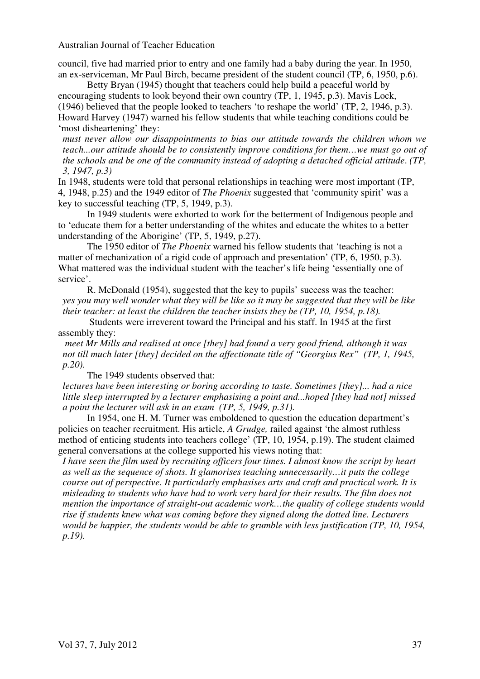council, five had married prior to entry and one family had a baby during the year. In 1950, an ex-serviceman, Mr Paul Birch, became president of the student council (TP, 6, 1950, p.6).

 Betty Bryan (1945) thought that teachers could help build a peaceful world by encouraging students to look beyond their own country (TP, 1, 1945, p.3). Mavis Lock, (1946) believed that the people looked to teachers 'to reshape the world' (TP, 2, 1946, p.3). Howard Harvey (1947) warned his fellow students that while teaching conditions could be 'most disheartening' they:

*must never allow our disappointments to bias our attitude towards the children whom we teach...our attitude should be to consistently improve conditions for them…we must go out of the schools and be one of the community instead of adopting a detached official attitude*. *(TP, 3, 1947, p.3)* 

In 1948, students were told that personal relationships in teaching were most important (TP, 4, 1948, p.25) and the 1949 editor of *The Phoenix* suggested that 'community spirit' was a key to successful teaching (TP, 5, 1949, p.3).

 In 1949 students were exhorted to work for the betterment of Indigenous people and to 'educate them for a better understanding of the whites and educate the whites to a better understanding of the Aborigine' (TP, 5, 1949, p.27).

 The 1950 editor of *The Phoenix* warned his fellow students that 'teaching is not a matter of mechanization of a rigid code of approach and presentation' (TP, 6, 1950, p.3). What mattered was the individual student with the teacher's life being 'essentially one of service'.

 R. McDonald (1954), suggested that the key to pupils' success was the teacher: *yes you may well wonder what they will be like so it may be suggested that they will be like their teacher: at least the children the teacher insists they be (TP, 10, 1954, p.18).* 

 Students were irreverent toward the Principal and his staff. In 1945 at the first assembly they:

 *meet Mr Mills and realised at once [they] had found a very good friend, although it was not till much later [they] decided on the affectionate title of "Georgius Rex" (TP, 1, 1945, p.20).* 

The 1949 students observed that:

*lectures have been interesting or boring according to taste. Sometimes [they]... had a nice little sleep interrupted by a lecturer emphasising a point and...hoped [they had not] missed a point the lecturer will ask in an exam (TP, 5, 1949, p.31).* 

 In 1954, one H. M. Turner was emboldened to question the education department's policies on teacher recruitment. His article, *A Grudge,* railed against 'the almost ruthless method of enticing students into teachers college' (TP, 10, 1954, p.19). The student claimed general conversations at the college supported his views noting that:

*I have seen the film used by recruiting officers four times. I almost know the script by heart as well as the sequence of shots. It glamorises teaching unnecessarily…it puts the college course out of perspective. It particularly emphasises arts and craft and practical work. It is misleading to students who have had to work very hard for their results. The film does not mention the importance of straight-out academic work…the quality of college students would rise if students knew what was coming before they signed along the dotted line. Lecturers would be happier, the students would be able to grumble with less justification (TP, 10, 1954, p.19).*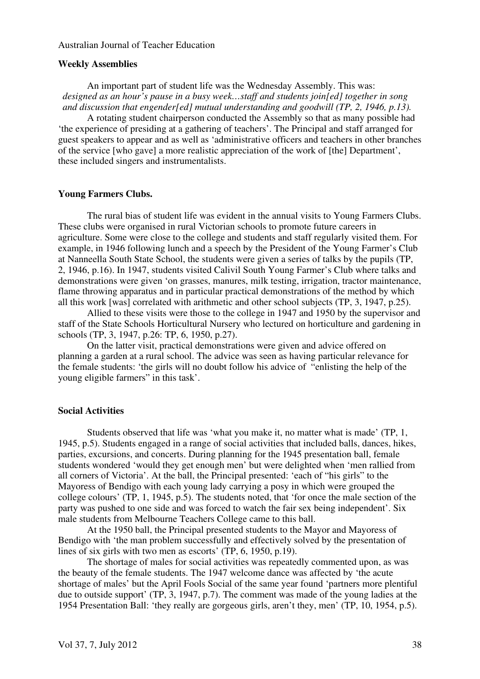#### **Weekly Assemblies**

An important part of student life was the Wednesday Assembly. This was: *designed as an hour's pause in a busy week…staff and students join[ed] together in song and discussion that engender[ed] mutual understanding and goodwill (TP, 2, 1946, p.13).* 

 A rotating student chairperson conducted the Assembly so that as many possible had 'the experience of presiding at a gathering of teachers'. The Principal and staff arranged for guest speakers to appear and as well as 'administrative officers and teachers in other branches of the service [who gave] a more realistic appreciation of the work of [the] Department', these included singers and instrumentalists.

#### **Young Farmers Clubs.**

 The rural bias of student life was evident in the annual visits to Young Farmers Clubs. These clubs were organised in rural Victorian schools to promote future careers in agriculture. Some were close to the college and students and staff regularly visited them. For example, in 1946 following lunch and a speech by the President of the Young Farmer's Club at Nanneella South State School, the students were given a series of talks by the pupils (TP, 2, 1946, p.16). In 1947, students visited Calivil South Young Farmer's Club where talks and demonstrations were given 'on grasses, manures, milk testing, irrigation, tractor maintenance, flame throwing apparatus and in particular practical demonstrations of the method by which all this work [was] correlated with arithmetic and other school subjects (TP, 3, 1947, p.25).

 Allied to these visits were those to the college in 1947 and 1950 by the supervisor and staff of the State Schools Horticultural Nursery who lectured on horticulture and gardening in schools (TP, 3, 1947, p.26: TP, 6, 1950, p.27).

 On the latter visit, practical demonstrations were given and advice offered on planning a garden at a rural school. The advice was seen as having particular relevance for the female students: 'the girls will no doubt follow his advice of "enlisting the help of the young eligible farmers" in this task'.

# **Social Activities**

 Students observed that life was 'what you make it, no matter what is made' (TP, 1, 1945, p.5). Students engaged in a range of social activities that included balls, dances, hikes, parties, excursions, and concerts. During planning for the 1945 presentation ball, female students wondered 'would they get enough men' but were delighted when 'men rallied from all corners of Victoria'. At the ball, the Principal presented: 'each of "his girls" to the Mayoress of Bendigo with each young lady carrying a posy in which were grouped the college colours' (TP, 1, 1945, p.5). The students noted, that 'for once the male section of the party was pushed to one side and was forced to watch the fair sex being independent'. Six male students from Melbourne Teachers College came to this ball.

 At the 1950 ball, the Principal presented students to the Mayor and Mayoress of Bendigo with 'the man problem successfully and effectively solved by the presentation of lines of six girls with two men as escorts' (TP, 6, 1950, p.19).

 The shortage of males for social activities was repeatedly commented upon, as was the beauty of the female students. The 1947 welcome dance was affected by 'the acute shortage of males' but the April Fools Social of the same year found 'partners more plentiful due to outside support' (TP, 3, 1947, p.7). The comment was made of the young ladies at the 1954 Presentation Ball: 'they really are gorgeous girls, aren't they, men' (TP, 10, 1954, p.5).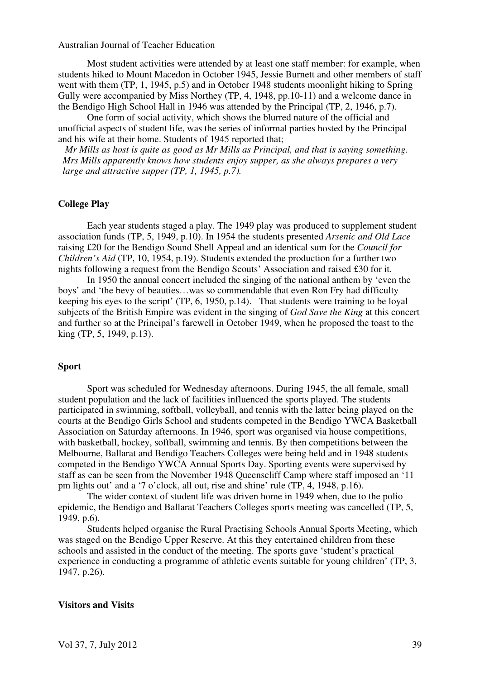Most student activities were attended by at least one staff member: for example, when students hiked to Mount Macedon in October 1945, Jessie Burnett and other members of staff went with them (TP, 1, 1945, p.5) and in October 1948 students moonlight hiking to Spring Gully were accompanied by Miss Northey (TP, 4, 1948, pp.10-11) and a welcome dance in the Bendigo High School Hall in 1946 was attended by the Principal (TP, 2, 1946, p.7).

 One form of social activity, which shows the blurred nature of the official and unofficial aspects of student life, was the series of informal parties hosted by the Principal and his wife at their home. Students of 1945 reported that;

*Mr Mills as host is quite as good as Mr Mills as Principal, and that is saying something. Mrs Mills apparently knows how students enjoy supper, as she always prepares a very large and attractive supper (TP, 1, 1945, p.7).* 

#### **College Play**

 Each year students staged a play. The 1949 play was produced to supplement student association funds (TP, 5, 1949, p.10). In 1954 the students presented *Arsenic and Old Lace* raising £20 for the Bendigo Sound Shell Appeal and an identical sum for the *Council for Children's Aid* (TP, 10, 1954, p.19). Students extended the production for a further two nights following a request from the Bendigo Scouts' Association and raised £30 for it.

 In 1950 the annual concert included the singing of the national anthem by 'even the boys' and 'the bevy of beauties…was so commendable that even Ron Fry had difficulty keeping his eyes to the script' (TP, 6, 1950, p.14). That students were training to be loyal subjects of the British Empire was evident in the singing of *God Save the King* at this concert and further so at the Principal's farewell in October 1949, when he proposed the toast to the king (TP, 5, 1949, p.13).

#### **Sport**

Sport was scheduled for Wednesday afternoons. During 1945, the all female, small student population and the lack of facilities influenced the sports played. The students participated in swimming, softball, volleyball, and tennis with the latter being played on the courts at the Bendigo Girls School and students competed in the Bendigo YWCA Basketball Association on Saturday afternoons. In 1946, sport was organised via house competitions, with basketball, hockey, softball, swimming and tennis. By then competitions between the Melbourne, Ballarat and Bendigo Teachers Colleges were being held and in 1948 students competed in the Bendigo YWCA Annual Sports Day. Sporting events were supervised by staff as can be seen from the November 1948 Queenscliff Camp where staff imposed an '11 pm lights out' and a '7 o'clock, all out, rise and shine' rule (TP, 4, 1948, p.16).

 The wider context of student life was driven home in 1949 when, due to the polio epidemic, the Bendigo and Ballarat Teachers Colleges sports meeting was cancelled (TP, 5, 1949, p.6).

Students helped organise the Rural Practising Schools Annual Sports Meeting, which was staged on the Bendigo Upper Reserve. At this they entertained children from these schools and assisted in the conduct of the meeting. The sports gave 'student's practical experience in conducting a programme of athletic events suitable for young children' (TP, 3, 1947, p.26).

#### **Visitors and Visits**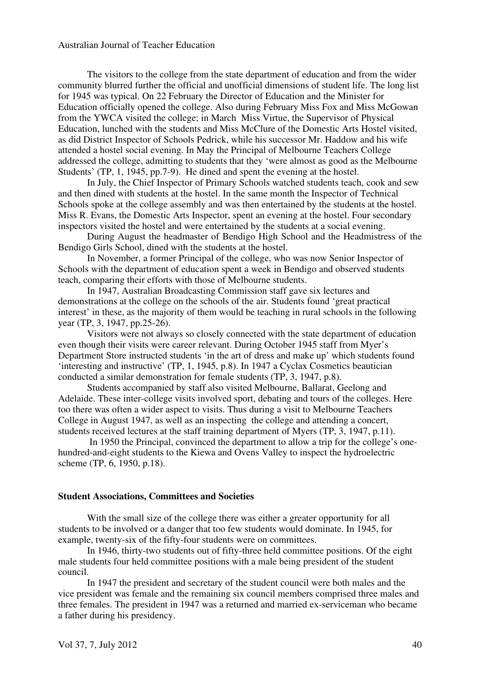The visitors to the college from the state department of education and from the wider community blurred further the official and unofficial dimensions of student life. The long list for 1945 was typical. On 22 February the Director of Education and the Minister for Education officially opened the college. Also during February Miss Fox and Miss McGowan from the YWCA visited the college; in March Miss Virtue, the Supervisor of Physical Education, lunched with the students and Miss McClure of the Domestic Arts Hostel visited, as did District Inspector of Schools Pedrick, while his successor Mr. Haddow and his wife attended a hostel social evening. In May the Principal of Melbourne Teachers College addressed the college, admitting to students that they 'were almost as good as the Melbourne Students' (TP, 1, 1945, pp.7-9). He dined and spent the evening at the hostel.

 In July, the Chief Inspector of Primary Schools watched students teach, cook and sew and then dined with students at the hostel. In the same month the Inspector of Technical Schools spoke at the college assembly and was then entertained by the students at the hostel. Miss R. Evans, the Domestic Arts Inspector, spent an evening at the hostel. Four secondary inspectors visited the hostel and were entertained by the students at a social evening.

 During August the headmaster of Bendigo High School and the Headmistress of the Bendigo Girls School, dined with the students at the hostel.

 In November, a former Principal of the college, who was now Senior Inspector of Schools with the department of education spent a week in Bendigo and observed students teach, comparing their efforts with those of Melbourne students.

 In 1947, Australian Broadcasting Commission staff gave six lectures and demonstrations at the college on the schools of the air. Students found 'great practical interest' in these, as the majority of them would be teaching in rural schools in the following year (TP, 3, 1947, pp.25-26).

 Visitors were not always so closely connected with the state department of education even though their visits were career relevant. During October 1945 staff from Myer's Department Store instructed students 'in the art of dress and make up' which students found 'interesting and instructive' (TP, 1, 1945, p.8). In 1947 a Cyclax Cosmetics beautician conducted a similar demonstration for female students (TP, 3, 1947, p.8).

 Students accompanied by staff also visited Melbourne, Ballarat, Geelong and Adelaide. These inter-college visits involved sport, debating and tours of the colleges. Here too there was often a wider aspect to visits. Thus during a visit to Melbourne Teachers College in August 1947, as well as an inspecting the college and attending a concert, students received lectures at the staff training department of Myers (TP, 3, 1947, p.11).

 In 1950 the Principal, convinced the department to allow a trip for the college's onehundred-and-eight students to the Kiewa and Ovens Valley to inspect the hydroelectric scheme (TP, 6, 1950, p.18).

#### **Student Associations, Committees and Societies**

 With the small size of the college there was either a greater opportunity for all students to be involved or a danger that too few students would dominate. In 1945, for example, twenty-six of the fifty-four students were on committees.

 In 1946, thirty-two students out of fifty-three held committee positions. Of the eight male students four held committee positions with a male being president of the student council.

 In 1947 the president and secretary of the student council were both males and the vice president was female and the remaining six council members comprised three males and three females. The president in 1947 was a returned and married ex-serviceman who became a father during his presidency.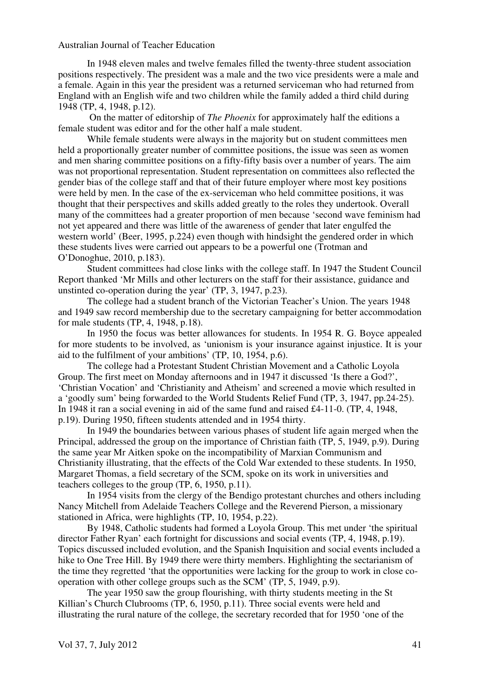In 1948 eleven males and twelve females filled the twenty-three student association positions respectively. The president was a male and the two vice presidents were a male and a female. Again in this year the president was a returned serviceman who had returned from England with an English wife and two children while the family added a third child during 1948 (TP, 4, 1948, p.12).

 On the matter of editorship of *The Phoenix* for approximately half the editions a female student was editor and for the other half a male student.

 While female students were always in the majority but on student committees men held a proportionally greater number of committee positions, the issue was seen as women and men sharing committee positions on a fifty-fifty basis over a number of years. The aim was not proportional representation. Student representation on committees also reflected the gender bias of the college staff and that of their future employer where most key positions were held by men. In the case of the ex-serviceman who held committee positions, it was thought that their perspectives and skills added greatly to the roles they undertook. Overall many of the committees had a greater proportion of men because 'second wave feminism had not yet appeared and there was little of the awareness of gender that later engulfed the western world' (Beer, 1995, p.224) even though with hindsight the gendered order in which these students lives were carried out appears to be a powerful one (Trotman and O'Donoghue, 2010, p.183).

 Student committees had close links with the college staff. In 1947 the Student Council Report thanked 'Mr Mills and other lecturers on the staff for their assistance, guidance and unstinted co-operation during the year' (TP, 3, 1947, p.23).

 The college had a student branch of the Victorian Teacher's Union. The years 1948 and 1949 saw record membership due to the secretary campaigning for better accommodation for male students (TP, 4, 1948, p.18).

 In 1950 the focus was better allowances for students. In 1954 R. G. Boyce appealed for more students to be involved, as 'unionism is your insurance against injustice. It is your aid to the fulfilment of your ambitions' (TP, 10, 1954, p.6).

 The college had a Protestant Student Christian Movement and a Catholic Loyola Group. The first meet on Monday afternoons and in 1947 it discussed 'Is there a God?', 'Christian Vocation' and 'Christianity and Atheism' and screened a movie which resulted in a 'goodly sum' being forwarded to the World Students Relief Fund (TP, 3, 1947, pp.24-25). In 1948 it ran a social evening in aid of the same fund and raised £4-11-0. (TP, 4, 1948, p.19). During 1950, fifteen students attended and in 1954 thirty.

 In 1949 the boundaries between various phases of student life again merged when the Principal, addressed the group on the importance of Christian faith (TP, 5, 1949, p.9). During the same year Mr Aitken spoke on the incompatibility of Marxian Communism and Christianity illustrating, that the effects of the Cold War extended to these students. In 1950, Margaret Thomas, a field secretary of the SCM, spoke on its work in universities and teachers colleges to the group (TP, 6, 1950, p.11).

 In 1954 visits from the clergy of the Bendigo protestant churches and others including Nancy Mitchell from Adelaide Teachers College and the Reverend Pierson, a missionary stationed in Africa, were highlights (TP, 10, 1954, p.22).

 By 1948, Catholic students had formed a Loyola Group. This met under 'the spiritual director Father Ryan' each fortnight for discussions and social events (TP, 4, 1948, p.19). Topics discussed included evolution, and the Spanish Inquisition and social events included a hike to One Tree Hill. By 1949 there were thirty members. Highlighting the sectarianism of the time they regretted 'that the opportunities were lacking for the group to work in close cooperation with other college groups such as the SCM' (TP, 5, 1949, p.9).

 The year 1950 saw the group flourishing, with thirty students meeting in the St Killian's Church Clubrooms (TP, 6, 1950, p.11). Three social events were held and illustrating the rural nature of the college, the secretary recorded that for 1950 'one of the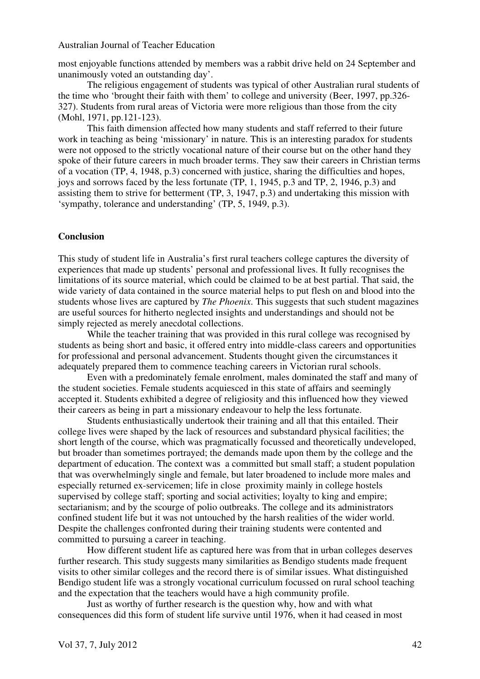most enjoyable functions attended by members was a rabbit drive held on 24 September and unanimously voted an outstanding day'.

 The religious engagement of students was typical of other Australian rural students of the time who 'brought their faith with them' to college and university (Beer, 1997, pp.326- 327). Students from rural areas of Victoria were more religious than those from the city (Mohl, 1971, pp.121-123).

 This faith dimension affected how many students and staff referred to their future work in teaching as being 'missionary' in nature. This is an interesting paradox for students were not opposed to the strictly vocational nature of their course but on the other hand they spoke of their future careers in much broader terms. They saw their careers in Christian terms of a vocation (TP, 4, 1948, p.3) concerned with justice, sharing the difficulties and hopes, joys and sorrows faced by the less fortunate (TP, 1, 1945, p.3 and TP, 2, 1946, p.3) and assisting them to strive for betterment (TP, 3, 1947, p.3) and undertaking this mission with 'sympathy, tolerance and understanding' (TP, 5, 1949, p.3).

## **Conclusion**

This study of student life in Australia's first rural teachers college captures the diversity of experiences that made up students' personal and professional lives. It fully recognises the limitations of its source material, which could be claimed to be at best partial. That said, the wide variety of data contained in the source material helps to put flesh on and blood into the students whose lives are captured by *The Phoenix*. This suggests that such student magazines are useful sources for hitherto neglected insights and understandings and should not be simply rejected as merely anecdotal collections.

 While the teacher training that was provided in this rural college was recognised by students as being short and basic, it offered entry into middle-class careers and opportunities for professional and personal advancement. Students thought given the circumstances it adequately prepared them to commence teaching careers in Victorian rural schools.

 Even with a predominately female enrolment, males dominated the staff and many of the student societies. Female students acquiesced in this state of affairs and seemingly accepted it. Students exhibited a degree of religiosity and this influenced how they viewed their careers as being in part a missionary endeavour to help the less fortunate.

 Students enthusiastically undertook their training and all that this entailed. Their college lives were shaped by the lack of resources and substandard physical facilities; the short length of the course, which was pragmatically focussed and theoretically undeveloped, but broader than sometimes portrayed; the demands made upon them by the college and the department of education. The context was a committed but small staff; a student population that was overwhelmingly single and female, but later broadened to include more males and especially returned ex-servicemen; life in close proximity mainly in college hostels supervised by college staff; sporting and social activities; loyalty to king and empire; sectarianism; and by the scourge of polio outbreaks. The college and its administrators confined student life but it was not untouched by the harsh realities of the wider world. Despite the challenges confronted during their training students were contented and committed to pursuing a career in teaching.

 How different student life as captured here was from that in urban colleges deserves further research. This study suggests many similarities as Bendigo students made frequent visits to other similar colleges and the record there is of similar issues. What distinguished Bendigo student life was a strongly vocational curriculum focussed on rural school teaching and the expectation that the teachers would have a high community profile.

 Just as worthy of further research is the question why, how and with what consequences did this form of student life survive until 1976, when it had ceased in most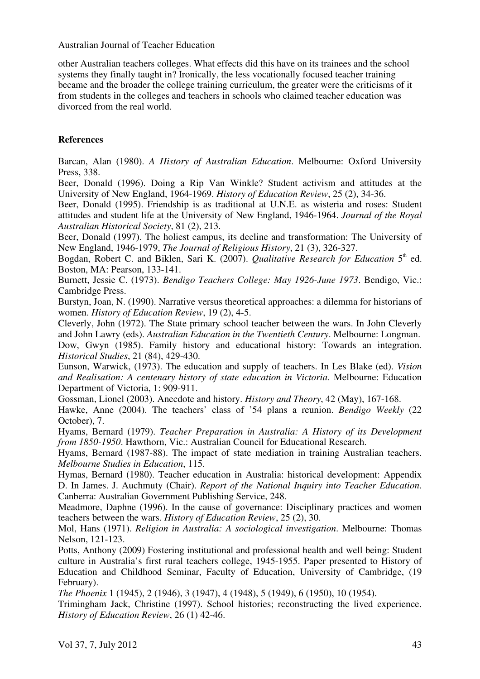other Australian teachers colleges. What effects did this have on its trainees and the school systems they finally taught in? Ironically, the less vocationally focused teacher training became and the broader the college training curriculum, the greater were the criticisms of it from students in the colleges and teachers in schools who claimed teacher education was divorced from the real world.

# **References**

Barcan, Alan (1980). *A History of Australian Education*. Melbourne: Oxford University Press, 338.

Beer, Donald (1996). Doing a Rip Van Winkle? Student activism and attitudes at the University of New England, 1964-1969. *History of Education Review*, 25 (2), 34-36.

Beer, Donald (1995). Friendship is as traditional at U.N.E. as wisteria and roses: Student attitudes and student life at the University of New England, 1946-1964. *Journal of the Royal Australian Historical Society*, 81 (2), 213.

Beer, Donald (1997). The holiest campus, its decline and transformation: The University of New England, 1946-1979, *The Journal of Religious History*, 21 (3), 326-327.

Bogdan, Robert C. and Biklen, Sari K. (2007). *Qualitative Research for Education* 5<sup>th</sup> ed. Boston, MA: Pearson, 133-141.

Burnett, Jessie C. (1973). *Bendigo Teachers College: May 1926-June 1973*. Bendigo, Vic.: Cambridge Press.

Burstyn, Joan, N. (1990). Narrative versus theoretical approaches: a dilemma for historians of women. *History of Education Review*, 19 (2), 4-5.

Cleverly, John (1972). The State primary school teacher between the wars. In John Cleverly and John Lawry (eds). *Australian Education in the Twentieth Century*. Melbourne: Longman.

Dow, Gwyn (1985). Family history and educational history: Towards an integration. *Historical Studies*, 21 (84), 429-430.

Eunson, Warwick, (1973). The education and supply of teachers. In Les Blake (ed). *Vision and Realisation: A centenary history of state education in Victoria*. Melbourne: Education Department of Victoria, 1: 909-911.

Gossman, Lionel (2003). Anecdote and history. *History and Theory*, 42 (May), 167-168.

Hawke, Anne (2004). The teachers' class of '54 plans a reunion. *Bendigo Weekly* (22 October), 7.

Hyams, Bernard (1979). *Teacher Preparation in Australia: A History of its Development from 1850-1950*. Hawthorn, Vic.: Australian Council for Educational Research.

Hyams, Bernard (1987-88). The impact of state mediation in training Australian teachers. *Melbourne Studies in Education*, 115.

Hymas, Bernard (1980). Teacher education in Australia: historical development: Appendix D. In James. J. Auchmuty (Chair). *Report of the National Inquiry into Teacher Education*. Canberra: Australian Government Publishing Service, 248.

Meadmore, Daphne (1996). In the cause of governance: Disciplinary practices and women teachers between the wars. *History of Education Review*, 25 (2), 30.

Mol, Hans (1971). *Religion in Australia: A sociological investigation*. Melbourne: Thomas Nelson, 121-123.

Potts, Anthony (2009) Fostering institutional and professional health and well being: Student culture in Australia's first rural teachers college, 1945-1955. Paper presented to History of Education and Childhood Seminar, Faculty of Education, University of Cambridge, (19 February).

*The Phoenix* 1 (1945), 2 (1946), 3 (1947), 4 (1948), 5 (1949), 6 (1950), 10 (1954).

Trimingham Jack, Christine (1997). School histories; reconstructing the lived experience. *History of Education Review*, 26 (1) 42-46.